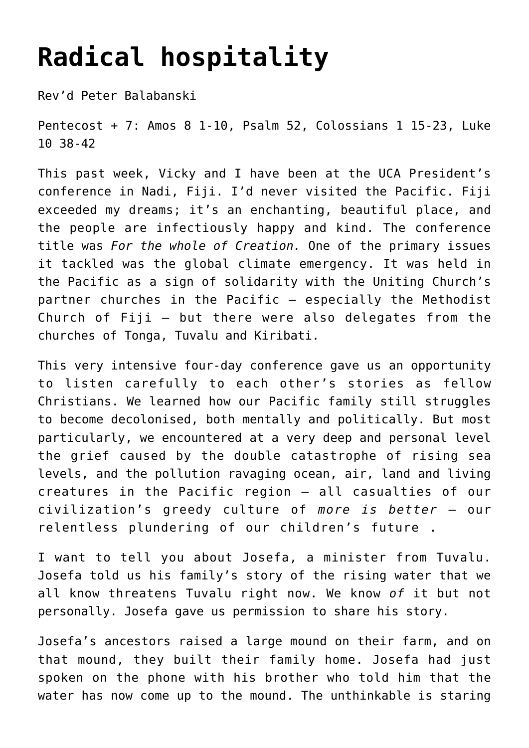## **[Radical hospitality](https://stjohnsadelaide.org.au/radical-hospitality/)**

Rev'd Peter Balabanski

Pentecost + 7: Amos 8 1-10, Psalm 52, Colossians 1 15-23, Luke 10 38-42

This past week, Vicky and I have been at the UCA President's conference in Nadi, Fiji. I'd never visited the Pacific. Fiji exceeded my dreams; it's an enchanting, beautiful place, and the people are infectiously happy and kind. The conference title was *For the whole of Creation.* One of the primary issues it tackled was the global climate emergency. It was held in the Pacific as a sign of solidarity with the Uniting Church's partner churches in the Pacific – especially the Methodist Church of Fiji – but there were also delegates from the churches of Tonga, Tuvalu and Kiribati.

This very intensive four-day conference gave us an opportunity to listen carefully to each other's stories as fellow Christians. We learned how our Pacific family still struggles to become decolonised, both mentally and politically. But most particularly, we encountered at a very deep and personal level the grief caused by the double catastrophe of rising sea levels, and the pollution ravaging ocean, air, land and living creatures in the Pacific region – all casualties of our civilization's greedy culture of *more is better* – our relentless plundering of our children's future .

I want to tell you about Josefa, a minister from Tuvalu. Josefa told us his family's story of the rising water that we all know threatens Tuvalu right now. We know *of* it but not personally. Josefa gave us permission to share his story.

Josefa's ancestors raised a large mound on their farm, and on that mound, they built their family home. Josefa had just spoken on the phone with his brother who told him that the water has now come up to the mound. The unthinkable is staring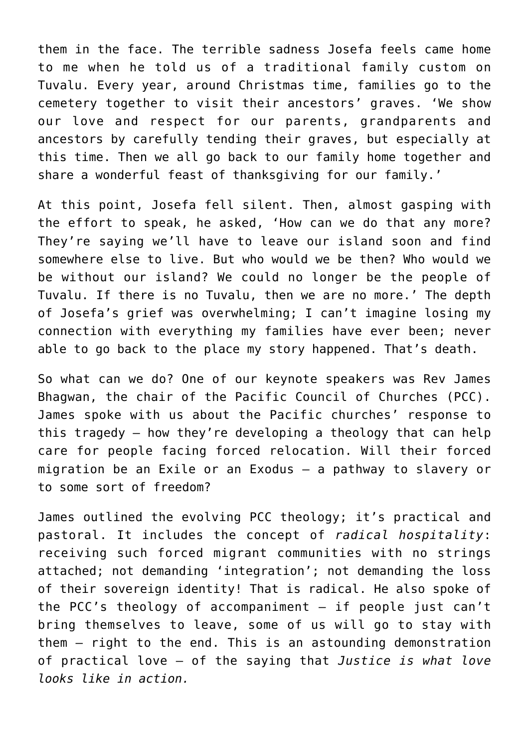them in the face. The terrible sadness Josefa feels came home to me when he told us of a traditional family custom on Tuvalu. Every year, around Christmas time, families go to the cemetery together to visit their ancestors' graves. 'We show our love and respect for our parents, grandparents and ancestors by carefully tending their graves, but especially at this time. Then we all go back to our family home together and share a wonderful feast of thanksgiving for our family.'

At this point, Josefa fell silent. Then, almost gasping with the effort to speak, he asked, 'How can we do that any more? They're saying we'll have to leave our island soon and find somewhere else to live. But who would we be then? Who would we be without our island? We could no longer be the people of Tuvalu. If there is no Tuvalu, then we are no more.' The depth of Josefa's grief was overwhelming; I can't imagine losing my connection with everything my families have ever been; never able to go back to the place my story happened. That's death.

So what can we do? One of our keynote speakers was Rev James Bhagwan, the chair of the Pacific Council of Churches (PCC). James spoke with us about the Pacific churches' response to this tragedy – how they're developing a theology that can help care for people facing forced relocation. Will their forced migration be an Exile or an Exodus – a pathway to slavery or to some sort of freedom?

James outlined the evolving PCC theology; it's practical and pastoral. It includes the concept of *radical hospitality*: receiving such forced migrant communities with no strings attached; not demanding 'integration'; not demanding the loss of their sovereign identity! That is radical. He also spoke of the PCC's theology of accompaniment – if people just can't bring themselves to leave, some of us will go to stay with them – right to the end. This is an astounding demonstration of practical love – of the saying that *Justice is what love looks like in action.*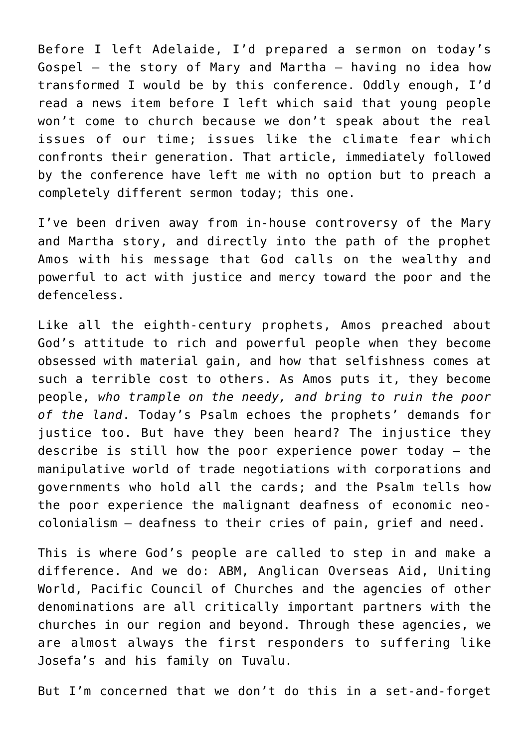Before I left Adelaide, I'd prepared a sermon on today's Gospel – the story of Mary and Martha – having no idea how transformed I would be by this conference. Oddly enough, I'd read a news item before I left which said that young people won't come to church because we don't speak about the real issues of our time; issues like the climate fear which confronts their generation. That article, immediately followed by the conference have left me with no option but to preach a completely different sermon today; this one.

I've been driven away from in-house controversy of the Mary and Martha story, and directly into the path of the prophet Amos with his message that God calls on the wealthy and powerful to act with justice and mercy toward the poor and the defenceless.

Like all the eighth-century prophets, Amos preached about God's attitude to rich and powerful people when they become obsessed with material gain, and how that selfishness comes at such a terrible cost to others. As Amos puts it, they become people, *who trample on the needy, and bring to ruin the poor of the land*. Today's Psalm echoes the prophets' demands for justice too. But have they been heard? The injustice they describe is still how the poor experience power today – the manipulative world of trade negotiations with corporations and governments who hold all the cards; and the Psalm tells how the poor experience the malignant deafness of economic neocolonialism – deafness to their cries of pain, grief and need.

This is where God's people are called to step in and make a difference. And we do: ABM, Anglican Overseas Aid, Uniting World, Pacific Council of Churches and the agencies of other denominations are all critically important partners with the churches in our region and beyond. Through these agencies, we are almost always the first responders to suffering like Josefa's and his family on Tuvalu.

But I'm concerned that we don't do this in a set-and-forget